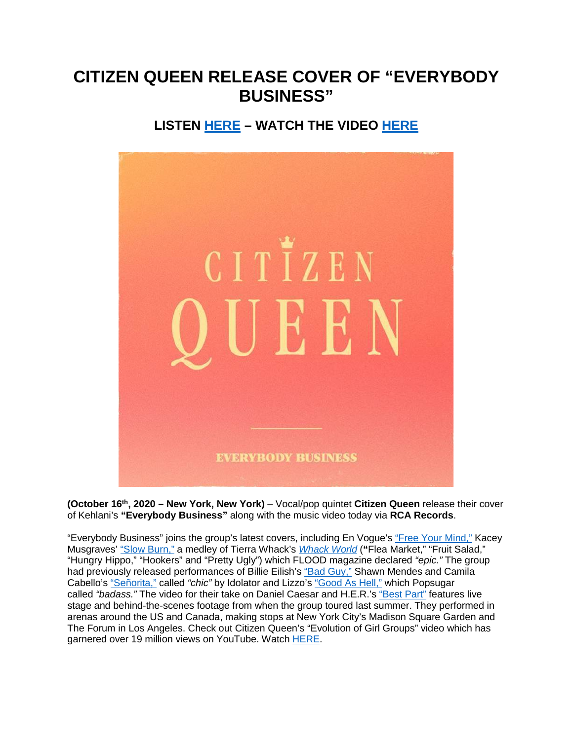## **CITIZEN QUEEN RELEASE COVER OF "EVERYBODY BUSINESS"**

## **LISTEN [HERE](https://eur01.safelinks.protection.outlook.com/?url=https%3A%2F%2Fsmarturl.it%2FCQEverybodyBusiness&data=02%7C01%7Cnicole.hagiwara%40rcarecords.com%7C6a42127cacb749b43fb908d871ed64ba%7Cf0aff3b791a54aaeaf71c63e1dda2049%7C0%7C0%7C637384611730548937&sdata=dZtVmqVJSOF2c33IKEVO7DNUju%2BhkrjKjEApFJTH9uY%3D&reserved=0) – WATCH THE VIDEO [HERE](https://eur01.safelinks.protection.outlook.com/?url=https%3A%2F%2Fsmarturl.it%2FCQEverybodyBusiness%2Fyoutube&data=02%7C01%7Cnicole.hagiwara%40rcarecords.com%7C6a42127cacb749b43fb908d871ed64ba%7Cf0aff3b791a54aaeaf71c63e1dda2049%7C0%7C0%7C637384611730548937&sdata=VbFHdGYAvnp3e6LFu9Ivn2FoQwR9xuixRqKb31RcM6c%3D&reserved=0)**



**(October 16th, 2020 – New York, New York)** – Vocal/pop quintet **Citizen Queen** release their cover of Kehlani's **"Everybody Business"** along with the music video today via **RCA Records**.

"Everybody Business" joins the group's latest covers, including En Vogue's ["Free Your Mind,"](https://eur01.safelinks.protection.outlook.com/?url=https%3A%2F%2Fwww.youtube.com%2Fwatch%3Fv%3Dj3LTaYbQGY0%26feature%3Dyoutu.be&data=02%7C01%7Cnicole.hagiwara%40rcarecords.com%7C6a42127cacb749b43fb908d871ed64ba%7Cf0aff3b791a54aaeaf71c63e1dda2049%7C0%7C0%7C637384611730548937&sdata=I11ZtsTB%2FxGXKWNgHkLxDk62UOh23Nms08GpuyiTYIA%3D&reserved=0) Kacey Musgraves' ["Slow Burn,"](https://eur01.safelinks.protection.outlook.com/?url=https%3A%2F%2Fwww.youtube.com%2Fwatch%3Fv%3DCdv34wWUEO0&data=02%7C01%7Cnicole.hagiwara%40rcarecords.com%7C6a42127cacb749b43fb908d871ed64ba%7Cf0aff3b791a54aaeaf71c63e1dda2049%7C0%7C0%7C637384611730558893&sdata=cD8gi0Ii%2FXUkxrA8Odis3kT0iu7hZAlmwqGvhmRY7NE%3D&reserved=0) a medley of Tierra Whack's *[Whack World](https://eur01.safelinks.protection.outlook.com/?url=https%3A%2F%2Fwww.youtube.com%2Fwatch%3Fv%3DuM24MnuhY0Q%26feature%3Dyoutu.be&data=02%7C01%7Cnicole.hagiwara%40rcarecords.com%7C6a42127cacb749b43fb908d871ed64ba%7Cf0aff3b791a54aaeaf71c63e1dda2049%7C0%7C0%7C637384611730558893&sdata=TFbKjejyCP1SqPyu3sNOf7Vc%2B7bUA3pqQBzY6lHVlUk%3D&reserved=0)* (**"**Flea Market," "Fruit Salad," "Hungry Hippo," "Hookers" and "Pretty Ugly") which FLOOD magazine declared *"epic."* The group had previously released performances of Billie Eilish's ["Bad Guy,"](https://eur01.safelinks.protection.outlook.com/?url=https%3A%2F%2Fsmarturl.it%2FCQbadguy%2Fyoutube&data=02%7C01%7Cnicole.hagiwara%40rcarecords.com%7C6a42127cacb749b43fb908d871ed64ba%7Cf0aff3b791a54aaeaf71c63e1dda2049%7C0%7C0%7C637384611730568851&sdata=gKK%2BDeP7aU3SM2m%2FpwaCJVCQ4WNqGBjKE1gjjo1KTpk%3D&reserved=0) Shawn Mendes and Camila Cabello's ["Señorita,"](https://eur01.safelinks.protection.outlook.com/?url=https%3A%2F%2Fwww.youtube.com%2Fwatch%3Fv%3DafNkixUxwtA&data=02%7C01%7Cnicole.hagiwara%40rcarecords.com%7C6a42127cacb749b43fb908d871ed64ba%7Cf0aff3b791a54aaeaf71c63e1dda2049%7C0%7C0%7C637384611730568851&sdata=3Xzg%2BcAq83XDCOav1SV1gAeJ4%2FFjSOIqlrG1zgSTbD4%3D&reserved=0) called *"chic"* by Idolator and Lizzo's ["Good As Hell,"](https://eur01.safelinks.protection.outlook.com/?url=https%3A%2F%2Fwww.youtube.com%2Fwatch%3Fv%3DZ_cXmwI0uEs&data=02%7C01%7Cnicole.hagiwara%40rcarecords.com%7C6a42127cacb749b43fb908d871ed64ba%7Cf0aff3b791a54aaeaf71c63e1dda2049%7C0%7C0%7C637384611730578807&sdata=Md6aSZXh2Ytd9YNTAOS2VuHfGrnKHs3at71H5Mj00uY%3D&reserved=0) which Popsugar called *"badass."* The video for their take on Daniel Caesar and H.E.R.'s ["Best Part"](https://eur01.safelinks.protection.outlook.com/?url=https%3A%2F%2Fwww.youtube.com%2Fwatch%3Ftime_continue%3D4%26v%3DBRjmtPe4gJM%26feature%3Demb_logo&data=02%7C01%7Cnicole.hagiwara%40rcarecords.com%7C6a42127cacb749b43fb908d871ed64ba%7Cf0aff3b791a54aaeaf71c63e1dda2049%7C0%7C0%7C637384611730578807&sdata=J371xcqN%2BVohCCXzisbT1pkEv5pFqvw2jRDAdsq6Tuo%3D&reserved=0) features live stage and behind-the-scenes footage from when the group toured last summer. They performed in arenas around the US and Canada, making stops at New York City's Madison Square Garden and The Forum in Los Angeles. Check out Citizen Queen's "Evolution of Girl Groups" video which has garnered over 19 million views on YouTube. Watch [HERE.](https://eur01.safelinks.protection.outlook.com/?url=https%3A%2F%2Fwww.youtube.com%2Fwatch%3Fv%3DIbfJivZm3Xo&data=02%7C01%7Cnicole.hagiwara%40rcarecords.com%7C6a42127cacb749b43fb908d871ed64ba%7Cf0aff3b791a54aaeaf71c63e1dda2049%7C0%7C0%7C637384611730578807&sdata=fuSJRaipbaR5B182Y%2F45QFLsU1SSdNq66FoMurlp2A4%3D&reserved=0)